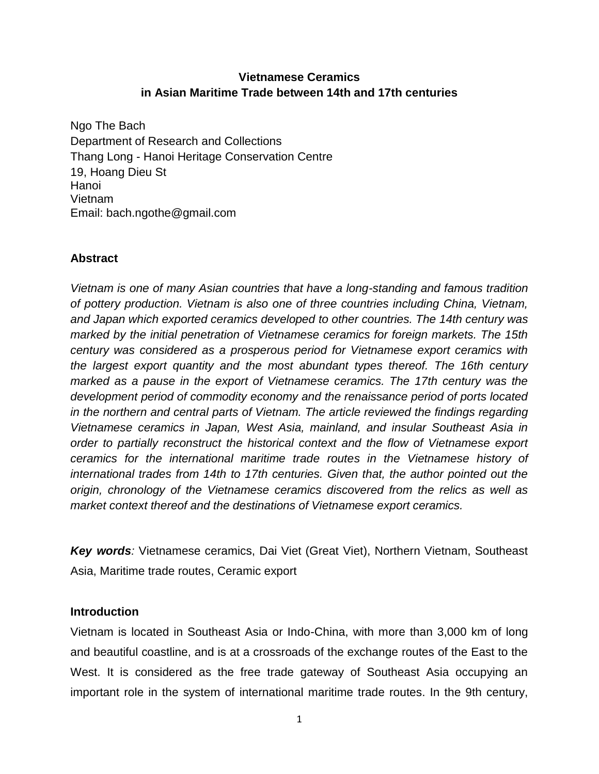## **Vietnamese Ceramics in Asian Maritime Trade between 14th and 17th centuries**

Ngo The Bach Department of Research and Collections Thang Long - Hanoi Heritage Conservation Centre 19, Hoang Dieu St Hanoi Vietnam Email: bach.ngothe@gmail.com

## **Abstract**

*Vietnam is one of many Asian countries that have a long-standing and famous tradition of pottery production. Vietnam is also one of three countries including China, Vietnam, and Japan which exported ceramics developed to other countries. The 14th century was marked by the initial penetration of Vietnamese ceramics for foreign markets. The 15th century was considered as a prosperous period for Vietnamese export ceramics with the largest export quantity and the most abundant types thereof. The 16th century marked as a pause in the export of Vietnamese ceramics. The 17th century was the development period of commodity economy and the renaissance period of ports located in the northern and central parts of Vietnam. The article reviewed the findings regarding Vietnamese ceramics in Japan, West Asia, mainland, and insular Southeast Asia in order to partially reconstruct the historical context and the flow of Vietnamese export ceramics for the international maritime trade routes in the Vietnamese history of international trades from 14th to 17th centuries. Given that, the author pointed out the origin, chronology of the Vietnamese ceramics discovered from the relics as well as market context thereof and the destinations of Vietnamese export ceramics.*

*Key words:* Vietnamese ceramics, Dai Viet (Great Viet), Northern Vietnam, Southeast Asia, Maritime trade routes, Ceramic export

### **Introduction**

Vietnam is located in Southeast Asia or Indo-China, with more than 3,000 km of long and beautiful coastline, and is at a crossroads of the exchange routes of the East to the West. It is considered as the free trade gateway of Southeast Asia occupying an important role in the system of international maritime trade routes. In the 9th century,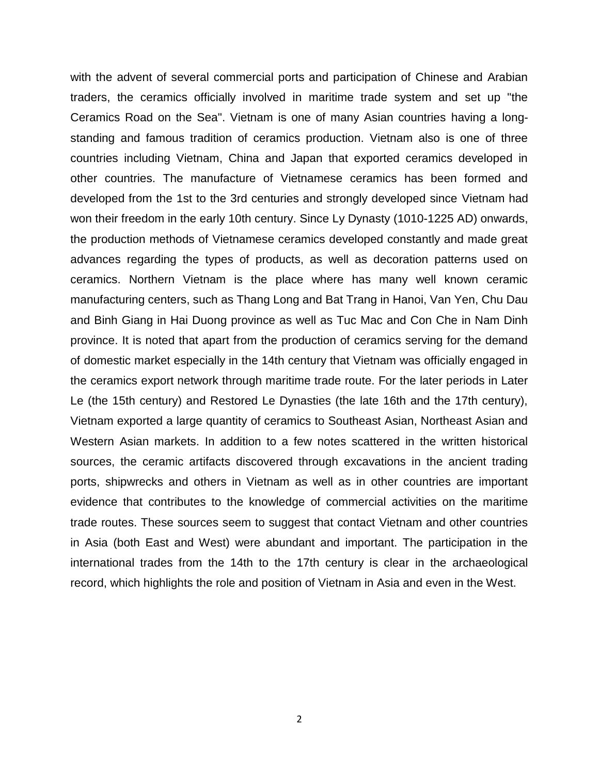with the advent of several commercial ports and participation of Chinese and Arabian traders, the ceramics officially involved in maritime trade system and set up "the Ceramics Road on the Sea". Vietnam is one of many Asian countries having a longstanding and famous tradition of ceramics production. Vietnam also is one of three countries including Vietnam, China and Japan that exported ceramics developed in other countries. The manufacture of Vietnamese ceramics has been formed and developed from the 1st to the 3rd centuries and strongly developed since Vietnam had won their freedom in the early 10th century. Since Ly Dynasty (1010-1225 AD) onwards, the production methods of Vietnamese ceramics developed constantly and made great advances regarding the types of products, as well as decoration patterns used on ceramics. Northern Vietnam is the place where has many well known ceramic manufacturing centers, such as Thang Long and Bat Trang in Hanoi, Van Yen, Chu Dau and Binh Giang in Hai Duong province as well as Tuc Mac and Con Che in Nam Dinh province. It is noted that apart from the production of ceramics serving for the demand of domestic market especially in the 14th century that Vietnam was officially engaged in the ceramics export network through maritime trade route. For the later periods in Later Le (the 15th century) and Restored Le Dynasties (the late 16th and the 17th century), Vietnam exported a large quantity of ceramics to Southeast Asian, Northeast Asian and Western Asian markets. In addition to a few notes scattered in the written historical sources, the ceramic artifacts discovered through excavations in the ancient trading ports, shipwrecks and others in Vietnam as well as in other countries are important evidence that contributes to the knowledge of commercial activities on the maritime trade routes. These sources seem to suggest that contact Vietnam and other countries in Asia (both East and West) were abundant and important. The participation in the international trades from the 14th to the 17th century is clear in the archaeological record, which highlights the role and position of Vietnam in Asia and even in the West.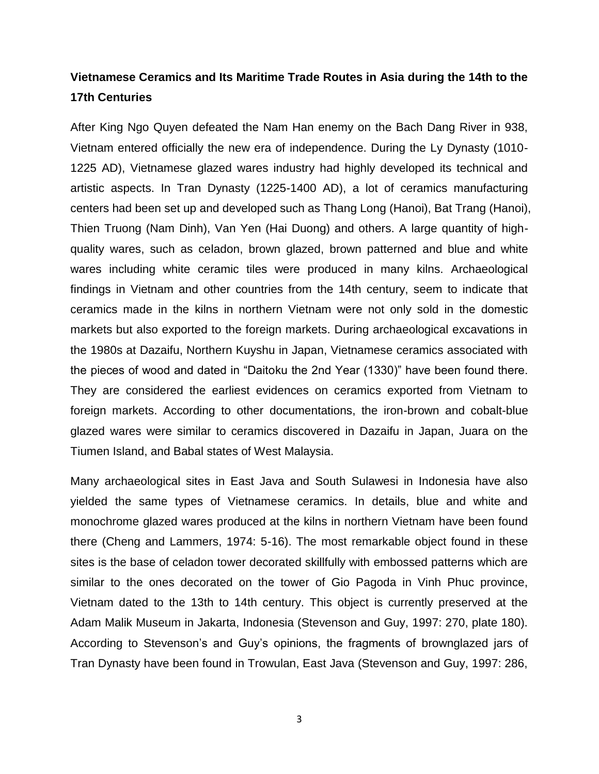# **Vietnamese Ceramics and Its Maritime Trade Routes in Asia during the 14th to the 17th Centuries**

After King Ngo Quyen defeated the Nam Han enemy on the Bach Dang River in 938, Vietnam entered officially the new era of independence. During the Ly Dynasty (1010- 1225 AD), Vietnamese glazed wares industry had highly developed its technical and artistic aspects. In Tran Dynasty (1225-1400 AD), a lot of ceramics manufacturing centers had been set up and developed such as Thang Long (Hanoi), Bat Trang (Hanoi), Thien Truong (Nam Dinh), Van Yen (Hai Duong) and others. A large quantity of highquality wares, such as celadon, brown glazed, brown patterned and blue and white wares including white ceramic tiles were produced in many kilns. Archaeological findings in Vietnam and other countries from the 14th century, seem to indicate that ceramics made in the kilns in northern Vietnam were not only sold in the domestic markets but also exported to the foreign markets. During archaeological excavations in the 1980s at Dazaifu, Northern Kuyshu in Japan, Vietnamese ceramics associated with the pieces of wood and dated in "Daitoku the 2nd Year (1330)" have been found there. They are considered the earliest evidences on ceramics exported from Vietnam to foreign markets. According to other documentations, the iron-brown and cobalt-blue glazed wares were similar to ceramics discovered in Dazaifu in Japan, Juara on the Tiumen Island, and Babal states of West Malaysia.

Many archaeological sites in East Java and South Sulawesi in Indonesia have also yielded the same types of Vietnamese ceramics. In details, blue and white and monochrome glazed wares produced at the kilns in northern Vietnam have been found there (Cheng and Lammers, 1974: 5-16). The most remarkable object found in these sites is the base of celadon tower decorated skillfully with embossed patterns which are similar to the ones decorated on the tower of Gio Pagoda in Vinh Phuc province, Vietnam dated to the 13th to 14th century. This object is currently preserved at the Adam Malik Museum in Jakarta, Indonesia (Stevenson and Guy, 1997: 270, plate 180). According to Stevenson's and Guy's opinions, the fragments of brownglazed jars of Tran Dynasty have been found in Trowulan, East Java (Stevenson and Guy, 1997: 286,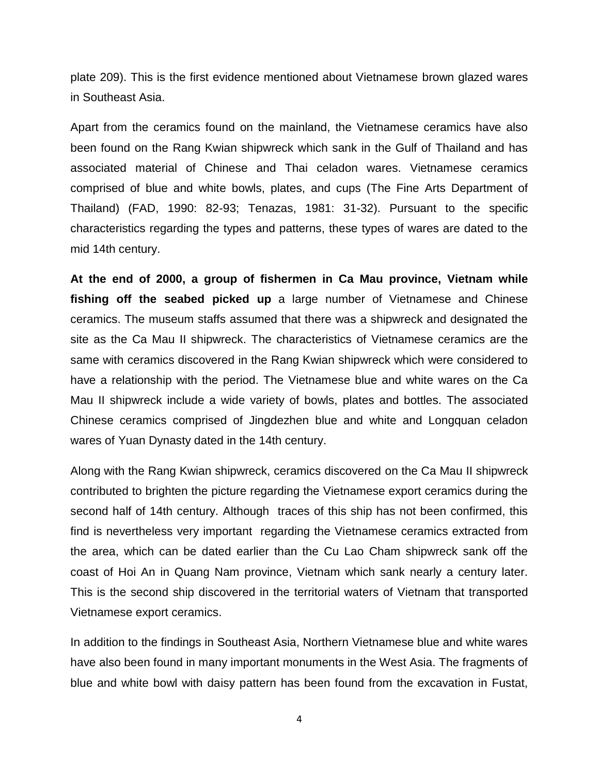plate 209). This is the first evidence mentioned about Vietnamese brown glazed wares in Southeast Asia.

Apart from the ceramics found on the mainland, the Vietnamese ceramics have also been found on the Rang Kwian shipwreck which sank in the Gulf of Thailand and has associated material of Chinese and Thai celadon wares. Vietnamese ceramics comprised of blue and white bowls, plates, and cups (The Fine Arts Department of Thailand) (FAD, 1990: 82-93; Tenazas, 1981: 31-32). Pursuant to the specific characteristics regarding the types and patterns, these types of wares are dated to the mid 14th century.

**At the end of 2000, a group of fishermen in Ca Mau province, Vietnam while fishing off the seabed picked up** a large number of Vietnamese and Chinese ceramics. The museum staffs assumed that there was a shipwreck and designated the site as the Ca Mau II shipwreck. The characteristics of Vietnamese ceramics are the same with ceramics discovered in the Rang Kwian shipwreck which were considered to have a relationship with the period. The Vietnamese blue and white wares on the Ca Mau II shipwreck include a wide variety of bowls, plates and bottles. The associated Chinese ceramics comprised of Jingdezhen blue and white and Longquan celadon wares of Yuan Dynasty dated in the 14th century.

Along with the Rang Kwian shipwreck, ceramics discovered on the Ca Mau II shipwreck contributed to brighten the picture regarding the Vietnamese export ceramics during the second half of 14th century. Although traces of this ship has not been confirmed, this find is nevertheless very important regarding the Vietnamese ceramics extracted from the area, which can be dated earlier than the Cu Lao Cham shipwreck sank off the coast of Hoi An in Quang Nam province, Vietnam which sank nearly a century later. This is the second ship discovered in the territorial waters of Vietnam that transported Vietnamese export ceramics.

In addition to the findings in Southeast Asia, Northern Vietnamese blue and white wares have also been found in many important monuments in the West Asia. The fragments of blue and white bowl with daisy pattern has been found from the excavation in Fustat,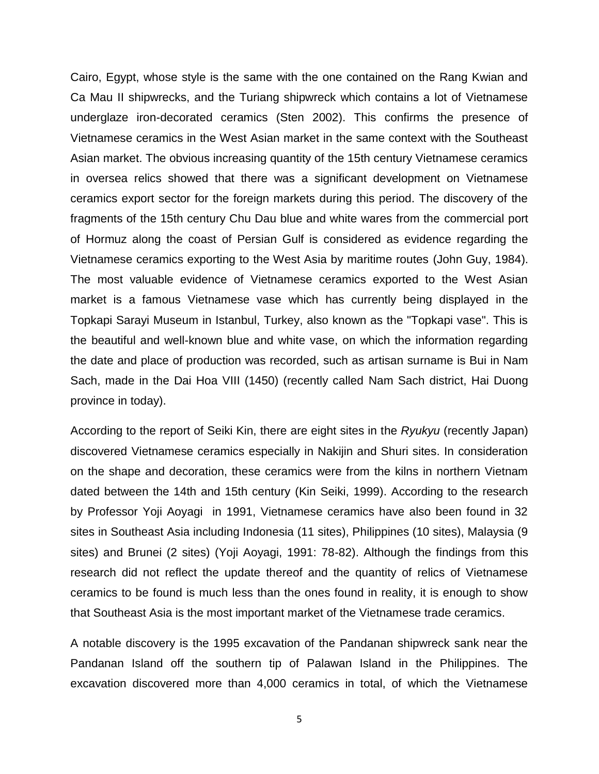Cairo, Egypt, whose style is the same with the one contained on the Rang Kwian and Ca Mau II shipwrecks, and the Turiang shipwreck which contains a lot of Vietnamese underglaze iron-decorated ceramics (Sten 2002). This confirms the presence of Vietnamese ceramics in the West Asian market in the same context with the Southeast Asian market. The obvious increasing quantity of the 15th century Vietnamese ceramics in oversea relics showed that there was a significant development on Vietnamese ceramics export sector for the foreign markets during this period. The discovery of the fragments of the 15th century Chu Dau blue and white wares from the commercial port of Hormuz along the coast of Persian Gulf is considered as evidence regarding the Vietnamese ceramics exporting to the West Asia by maritime routes (John Guy, 1984). The most valuable evidence of Vietnamese ceramics exported to the West Asian market is a famous Vietnamese vase which has currently being displayed in the Topkapi Sarayi Museum in Istanbul, Turkey, also known as the "Topkapi vase". This is the beautiful and well-known blue and white vase, on which the information regarding the date and place of production was recorded, such as artisan surname is Bui in Nam Sach, made in the Dai Hoa VIII (1450) (recently called Nam Sach district, Hai Duong province in today).

According to the report of Seiki Kin, there are eight sites in the *Ryukyu* (recently Japan) discovered Vietnamese ceramics especially in Nakijin and Shuri sites. In consideration on the shape and decoration, these ceramics were from the kilns in northern Vietnam dated between the 14th and 15th century (Kin Seiki, 1999). According to the research by Professor Yoji Aoyagi in 1991, Vietnamese ceramics have also been found in 32 sites in Southeast Asia including Indonesia (11 sites), Philippines (10 sites), Malaysia (9 sites) and Brunei (2 sites) (Yoji Aoyagi, 1991: 78-82). Although the findings from this research did not reflect the update thereof and the quantity of relics of Vietnamese ceramics to be found is much less than the ones found in reality, it is enough to show that Southeast Asia is the most important market of the Vietnamese trade ceramics.

A notable discovery is the 1995 excavation of the Pandanan shipwreck sank near the Pandanan Island off the southern tip of Palawan Island in the Philippines. The excavation discovered more than 4,000 ceramics in total, of which the Vietnamese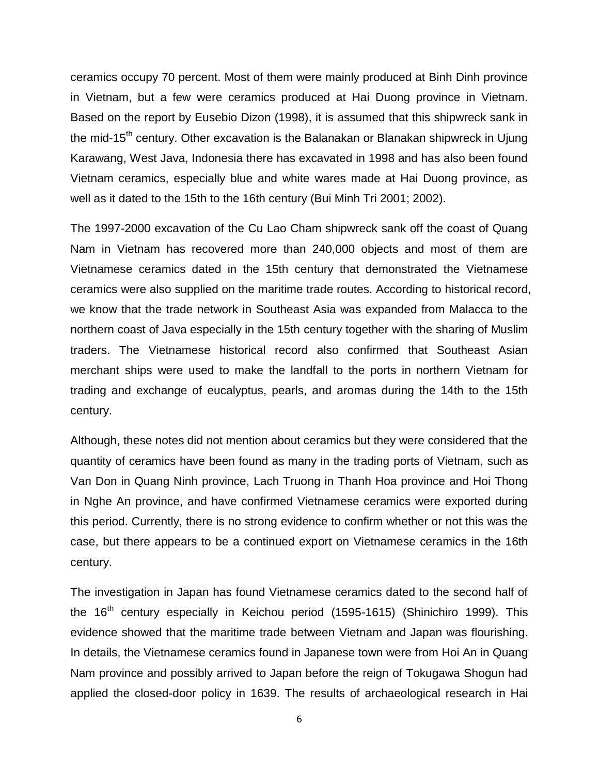ceramics occupy 70 percent. Most of them were mainly produced at Binh Dinh province in Vietnam, but a few were ceramics produced at Hai Duong province in Vietnam. Based on the report by Eusebio Dizon (1998), it is assumed that this shipwreck sank in the mid-15<sup>th</sup> century. Other excavation is the Balanakan or Blanakan shipwreck in Ujung Karawang, West Java, Indonesia there has excavated in 1998 and has also been found Vietnam ceramics, especially blue and white wares made at Hai Duong province, as well as it dated to the 15th to the 16th century (Bui Minh Tri 2001; 2002).

The 1997-2000 excavation of the Cu Lao Cham shipwreck sank off the coast of Quang Nam in Vietnam has recovered more than 240,000 objects and most of them are Vietnamese ceramics dated in the 15th century that demonstrated the Vietnamese ceramics were also supplied on the maritime trade routes. According to historical record, we know that the trade network in Southeast Asia was expanded from Malacca to the northern coast of Java especially in the 15th century together with the sharing of Muslim traders. The Vietnamese historical record also confirmed that Southeast Asian merchant ships were used to make the landfall to the ports in northern Vietnam for trading and exchange of eucalyptus, pearls, and aromas during the 14th to the 15th century.

Although, these notes did not mention about ceramics but they were considered that the quantity of ceramics have been found as many in the trading ports of Vietnam, such as Van Don in Quang Ninh province, Lach Truong in Thanh Hoa province and Hoi Thong in Nghe An province, and have confirmed Vietnamese ceramics were exported during this period. Currently, there is no strong evidence to confirm whether or not this was the case, but there appears to be a continued export on Vietnamese ceramics in the 16th century.

The investigation in Japan has found Vietnamese ceramics dated to the second half of the  $16<sup>th</sup>$  century especially in Keichou period (1595-1615) (Shinichiro 1999). This evidence showed that the maritime trade between Vietnam and Japan was flourishing. In details, the Vietnamese ceramics found in Japanese town were from Hoi An in Quang Nam province and possibly arrived to Japan before the reign of Tokugawa Shogun had applied the closed-door policy in 1639. The results of archaeological research in Hai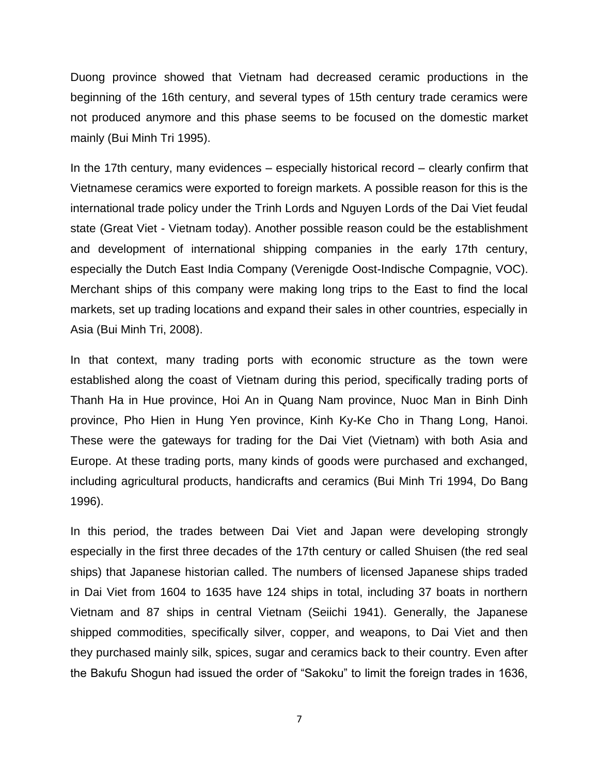Duong province showed that Vietnam had decreased ceramic productions in the beginning of the 16th century, and several types of 15th century trade ceramics were not produced anymore and this phase seems to be focused on the domestic market mainly (Bui Minh Tri 1995).

In the 17th century, many evidences – especially historical record – clearly confirm that Vietnamese ceramics were exported to foreign markets. A possible reason for this is the international trade policy under the Trinh Lords and Nguyen Lords of the Dai Viet feudal state (Great Viet - Vietnam today). Another possible reason could be the establishment and development of international shipping companies in the early 17th century, especially the Dutch East India Company (Verenigde Oost-Indische Compagnie, VOC). Merchant ships of this company were making long trips to the East to find the local markets, set up trading locations and expand their sales in other countries, especially in Asia (Bui Minh Tri, 2008).

In that context, many trading ports with economic structure as the town were established along the coast of Vietnam during this period, specifically trading ports of Thanh Ha in Hue province, Hoi An in Quang Nam province, Nuoc Man in Binh Dinh province, Pho Hien in Hung Yen province, Kinh Ky-Ke Cho in Thang Long, Hanoi. These were the gateways for trading for the Dai Viet (Vietnam) with both Asia and Europe. At these trading ports, many kinds of goods were purchased and exchanged, including agricultural products, handicrafts and ceramics (Bui Minh Tri 1994, Do Bang 1996).

In this period, the trades between Dai Viet and Japan were developing strongly especially in the first three decades of the 17th century or called Shuisen (the red seal ships) that Japanese historian called. The numbers of licensed Japanese ships traded in Dai Viet from 1604 to 1635 have 124 ships in total, including 37 boats in northern Vietnam and 87 ships in central Vietnam (Seiichi 1941). Generally, the Japanese shipped commodities, specifically silver, copper, and weapons, to Dai Viet and then they purchased mainly silk, spices, sugar and ceramics back to their country. Even after the Bakufu Shogun had issued the order of "Sakoku" to limit the foreign trades in 1636,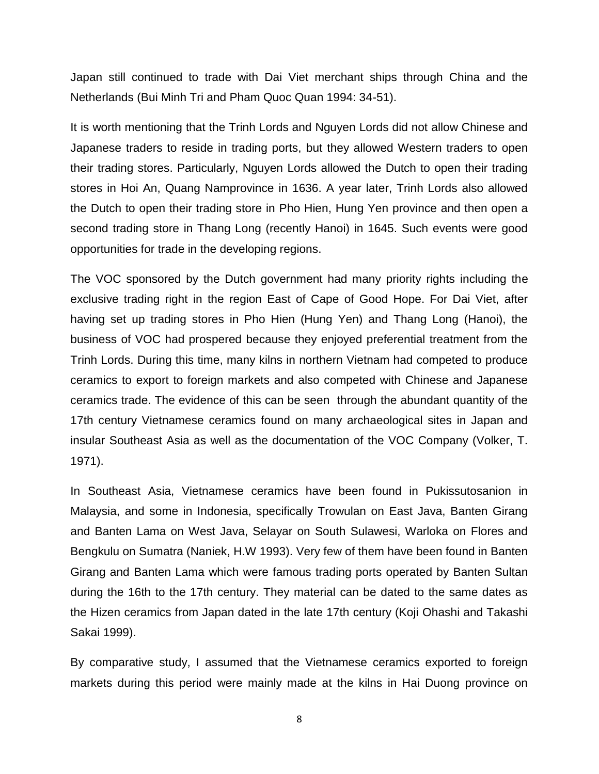Japan still continued to trade with Dai Viet merchant ships through China and the Netherlands (Bui Minh Tri and Pham Quoc Quan 1994: 34-51).

It is worth mentioning that the Trinh Lords and Nguyen Lords did not allow Chinese and Japanese traders to reside in trading ports, but they allowed Western traders to open their trading stores. Particularly, Nguyen Lords allowed the Dutch to open their trading stores in Hoi An, Quang Namprovince in 1636. A year later, Trinh Lords also allowed the Dutch to open their trading store in Pho Hien, Hung Yen province and then open a second trading store in Thang Long (recently Hanoi) in 1645. Such events were good opportunities for trade in the developing regions.

The VOC sponsored by the Dutch government had many priority rights including the exclusive trading right in the region East of Cape of Good Hope. For Dai Viet, after having set up trading stores in Pho Hien (Hung Yen) and Thang Long (Hanoi), the business of VOC had prospered because they enjoyed preferential treatment from the Trinh Lords. During this time, many kilns in northern Vietnam had competed to produce ceramics to export to foreign markets and also competed with Chinese and Japanese ceramics trade. The evidence of this can be seen through the abundant quantity of the 17th century Vietnamese ceramics found on many archaeological sites in Japan and insular Southeast Asia as well as the documentation of the VOC Company (Volker, T. 1971).

In Southeast Asia, Vietnamese ceramics have been found in Pukissutosanion in Malaysia, and some in Indonesia, specifically Trowulan on East Java, Banten Girang and Banten Lama on West Java, Selayar on South Sulawesi, Warloka on Flores and Bengkulu on Sumatra (Naniek, H.W 1993). Very few of them have been found in Banten Girang and Banten Lama which were famous trading ports operated by Banten Sultan during the 16th to the 17th century. They material can be dated to the same dates as the Hizen ceramics from Japan dated in the late 17th century (Koji Ohashi and Takashi Sakai 1999).

By comparative study, I assumed that the Vietnamese ceramics exported to foreign markets during this period were mainly made at the kilns in Hai Duong province on

<sup>8</sup>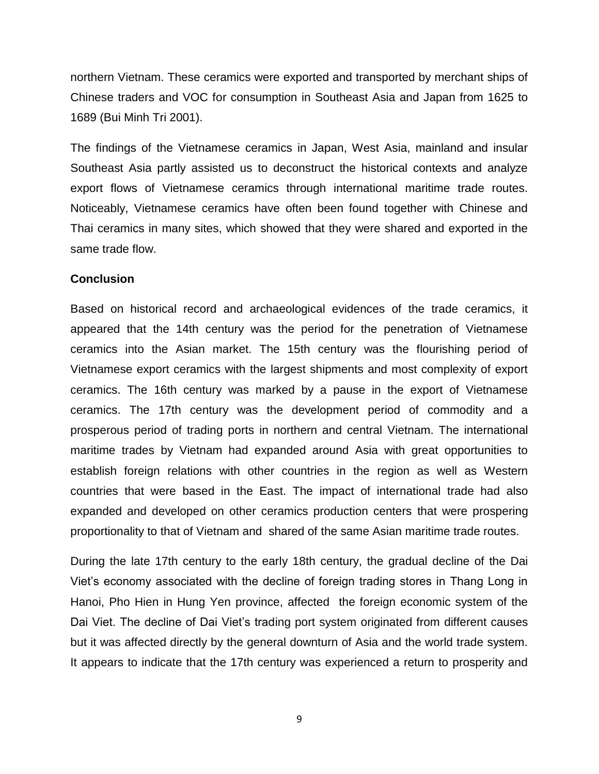northern Vietnam. These ceramics were exported and transported by merchant ships of Chinese traders and VOC for consumption in Southeast Asia and Japan from 1625 to 1689 (Bui Minh Tri 2001).

The findings of the Vietnamese ceramics in Japan, West Asia, mainland and insular Southeast Asia partly assisted us to deconstruct the historical contexts and analyze export flows of Vietnamese ceramics through international maritime trade routes. Noticeably, Vietnamese ceramics have often been found together with Chinese and Thai ceramics in many sites, which showed that they were shared and exported in the same trade flow.

### **Conclusion**

Based on historical record and archaeological evidences of the trade ceramics, it appeared that the 14th century was the period for the penetration of Vietnamese ceramics into the Asian market. The 15th century was the flourishing period of Vietnamese export ceramics with the largest shipments and most complexity of export ceramics. The 16th century was marked by a pause in the export of Vietnamese ceramics. The 17th century was the development period of commodity and a prosperous period of trading ports in northern and central Vietnam. The international maritime trades by Vietnam had expanded around Asia with great opportunities to establish foreign relations with other countries in the region as well as Western countries that were based in the East. The impact of international trade had also expanded and developed on other ceramics production centers that were prospering proportionality to that of Vietnam and shared of the same Asian maritime trade routes.

During the late 17th century to the early 18th century, the gradual decline of the Dai Viet's economy associated with the decline of foreign trading stores in Thang Long in Hanoi, Pho Hien in Hung Yen province, affected the foreign economic system of the Dai Viet. The decline of Dai Viet's trading port system originated from different causes but it was affected directly by the general downturn of Asia and the world trade system. It appears to indicate that the 17th century was experienced a return to prosperity and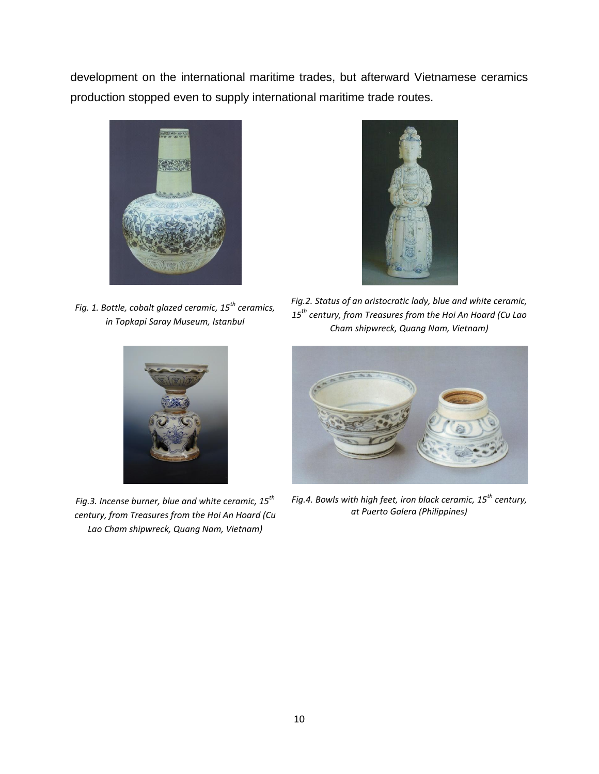development on the international maritime trades, but afterward Vietnamese ceramics production stopped even to supply international maritime trade routes.



*Fig. 1. Bottle, cobalt glazed ceramic, 15th ceramics, in Topkapi Saray Museum, Istanbul*



*Fig.2. Status of an aristocratic lady, blue and white ceramic, 15th century, from Treasures from the Hoi An Hoard (Cu Lao Cham shipwreck, Quang Nam, Vietnam)*



*Fig.3. Incense burner, blue and white ceramic, 15th century, from Treasures from the Hoi An Hoard (Cu Lao Cham shipwreck, Quang Nam, Vietnam)*



*Fig.4. Bowls with high feet, iron black ceramic, 15th century, at Puerto Galera (Philippines)*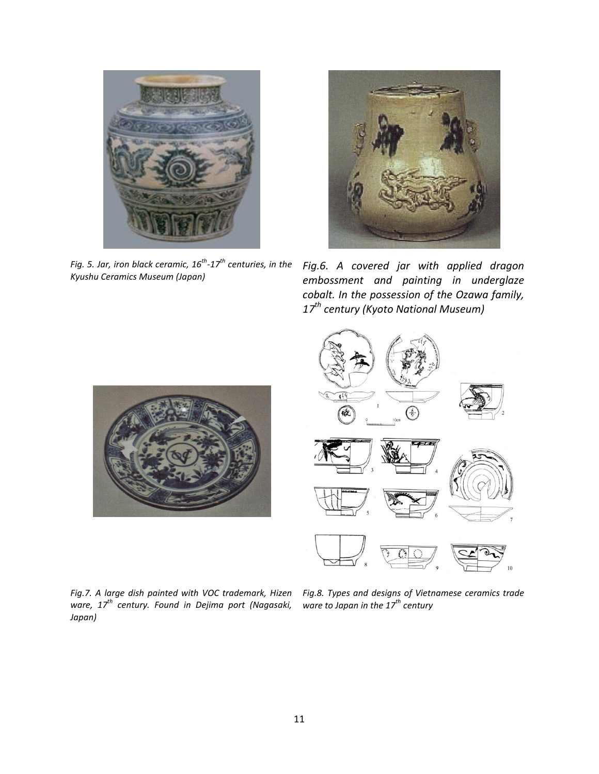

*Fig. 5. Jar, iron black ceramic, 16th -17th centuries, in the Kyushu Ceramics Museum (Japan)*



*Fig.6. A covered jar with applied dragon embossment and painting in underglaze cobalt. In the possession of the Ozawa family, 17th century (Kyoto National Museum)*





*Fig.7. A large dish painted with VOC trademark, Hizen ware, 17th century. Found in Dejima port (Nagasaki, Japan)*

*Fig.8. Types and designs of Vietnamese ceramics trade ware to Japan in the 17th century*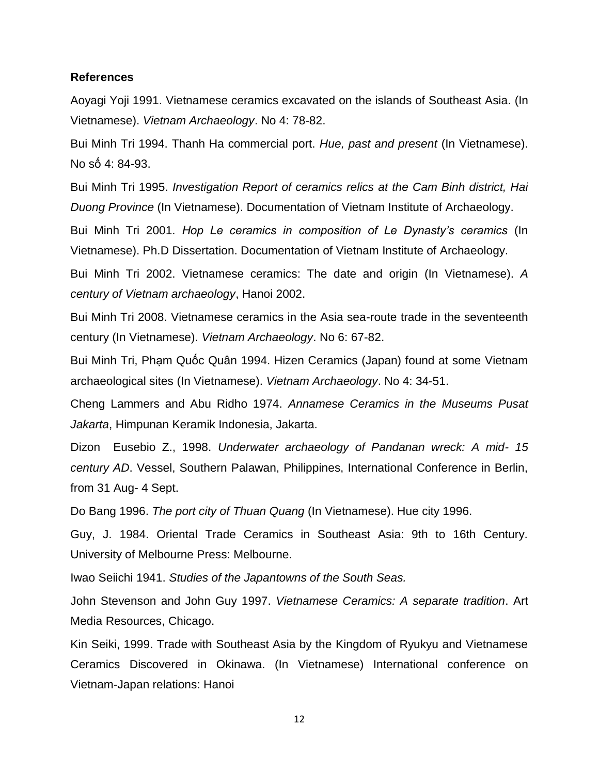#### **References**

Aoyagi Yoji 1991. Vietnamese ceramics excavated on the islands of Southeast Asia. (In Vietnamese). *Vietnam Archaeology*. No 4: 78-82.

Bui Minh Tri 1994. Thanh Ha commercial port. *Hue, past and present* (In Vietnamese). No số 4: 84-93.

Bui Minh Tri 1995. *Investigation Report of ceramics relics at the Cam Binh district, Hai Duong Province* (In Vietnamese). Documentation of Vietnam Institute of Archaeology.

Bui Minh Tri 2001. *Hop Le ceramics in composition of Le Dynasty's ceramics* (In Vietnamese). Ph.D Dissertation. Documentation of Vietnam Institute of Archaeology.

Bui Minh Tri 2002. Vietnamese ceramics: The date and origin (In Vietnamese). *A century of Vietnam archaeology*, Hanoi 2002.

Bui Minh Tri 2008. Vietnamese ceramics in the Asia sea-route trade in the seventeenth century (In Vietnamese). *Vietnam Archaeology*. No 6: 67-82.

Bui Minh Tri, Phạm Quốc Quân 1994. Hizen Ceramics (Japan) found at some Vietnam archaeological sites (In Vietnamese). *Vietnam Archaeology*. No 4: 34-51.

Cheng Lammers and Abu Ridho 1974. *Annamese Ceramics in the Museums Pusat Jakarta*, Himpunan Keramik Indonesia, Jakarta.

Dizon Eusebio Z., 1998. *Underwater archaeology of Pandanan wreck: A mid- 15 century AD*. Vessel, Southern Palawan, Philippines, International Conference in Berlin, from 31 Aug- 4 Sept.

Do Bang 1996. *The port city of Thuan Quang* (In Vietnamese). Hue city 1996.

Guy, J. 1984. Oriental Trade Ceramics in Southeast Asia: 9th to 16th Century. University of Melbourne Press: Melbourne.

Iwao Seiichi 1941. *Studies of the Japantowns of the South Seas.*

John Stevenson and John Guy 1997. *Vietnamese Ceramics: A separate tradition*. Art Media Resources, Chicago.

Kin Seiki, 1999. Trade with Southeast Asia by the Kingdom of Ryukyu and Vietnamese Ceramics Discovered in Okinawa. (In Vietnamese) International conference on Vietnam-Japan relations: Hanoi